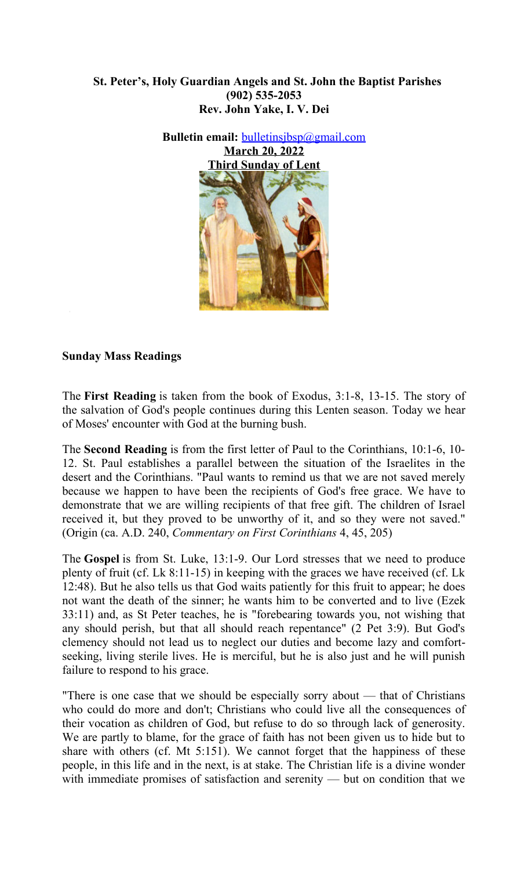# **St. Peter's, Holy Guardian Angels and St. John the Baptist Parishes (902) 535-2053 Rev. John Yake, I. V. Dei**



### **Sunday Mass Readings**

The **First Reading** is taken from the book of Exodus, 3:1-8, 13-15. The story of the salvation of God's people continues during this Lenten season. Today we hear of Moses' encounter with God at the burning bush.

The **Second Reading** is from the first letter of Paul to the Corinthians, 10:1-6, 10- 12. St. Paul establishes a parallel between the situation of the Israelites in the desert and the Corinthians. "Paul wants to remind us that we are not saved merely because we happen to have been the recipients of God's free grace. We have to demonstrate that we are willing recipients of that free gift. The children of Israel received it, but they proved to be unworthy of it, and so they were not saved." (Origin (ca. A.D. 240, *Commentary on First Corinthians* 4, 45, 205)

The **Gospel** is from St. Luke, 13:1-9. Our Lord stresses that we need to produce plenty of fruit (cf. Lk 8:11-15) in keeping with the graces we have received (cf. Lk 12:48). But he also tells us that God waits patiently for this fruit to appear; he does not want the death of the sinner; he wants him to be converted and to live (Ezek 33:11) and, as St Peter teaches, he is "forebearing towards you, not wishing that any should perish, but that all should reach repentance" (2 Pet 3:9). But God's clemency should not lead us to neglect our duties and become lazy and comfortseeking, living sterile lives. He is merciful, but he is also just and he will punish failure to respond to his grace.

"There is one case that we should be especially sorry about — that of Christians who could do more and don't; Christians who could live all the consequences of their vocation as children of God, but refuse to do so through lack of generosity. We are partly to blame, for the grace of faith has not been given us to hide but to share with others (cf. Mt 5:151). We cannot forget that the happiness of these people, in this life and in the next, is at stake. The Christian life is a divine wonder with immediate promises of satisfaction and serenity — but on condition that we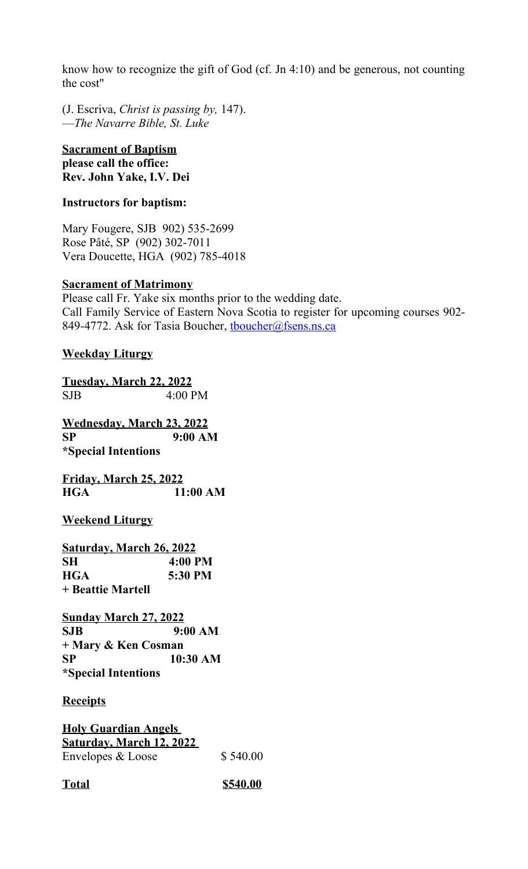know how to recognize the gift of God (cf. Jn 4:10) and be generous, not counting the cost"

(J. Escriva, *Christ is passing by,* 147). —*The Navarre Bible, St. Luke*

### **Sacrament of Baptism please call the office: Rev. John Yake, I.V. Dei**

# **Instructors for baptism:**

Mary Fougere, SJB 902) 535-2699 Rose Pâté, SP (902) 302-7011 Vera Doucette, HGA (902) 785-4018

# **Sacrament of Matrimony**

Please call Fr. Yake six months prior to the wedding date. Call Family Service of Eastern Nova Scotia to register for upcoming courses 902- 849-4772. Ask for Tasia Boucher, thoucher@fsens.ns.ca

# **Weekday Liturgy**

```
Tuesday, March 22, 2022
SJB 4:00 PM
```
**Wednesday, March 23, 2022 SP 9:00 AM \*Special Intentions**

**Friday, March 25, 2022 HGA 11:00 AM**

**Weekend Liturgy**

**Saturday, March 26, 2022 SH 4:00 PM HGA 5:30 PM + Beattie Martell** 

**Sunday March 27, 2022 SJB 9:00 AM + Mary & Ken Cosman SP 10:30 AM \*Special Intentions**

# **Receipts**

**Holy Guardian Angels Saturday, March 12, 2022**  Envelopes & Loose \$540.00

**Total \$540.00**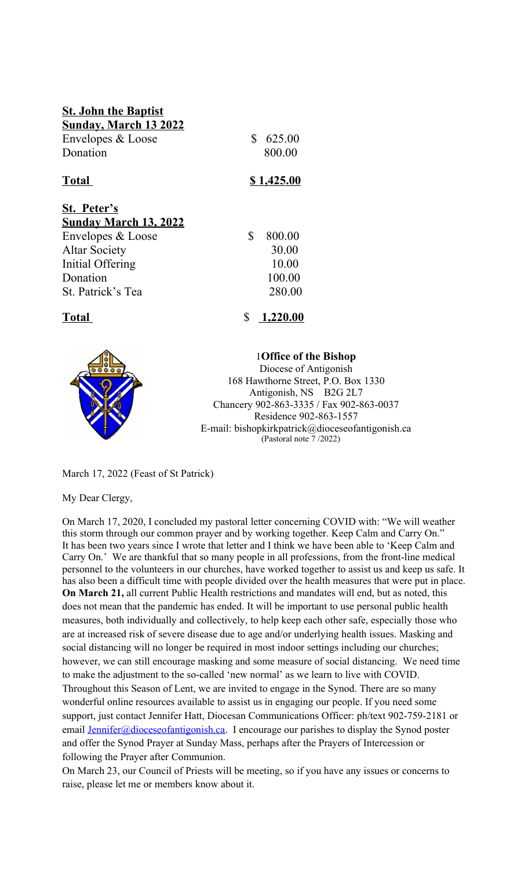| <b>St. John the Baptist</b><br><b>Sunday, March 13 2022</b><br>Envelopes & Loose<br>Donation                                                  | \$<br>625.00<br>800.00                             |
|-----------------------------------------------------------------------------------------------------------------------------------------------|----------------------------------------------------|
| <b>Total</b>                                                                                                                                  | <u>\$1,425.00</u>                                  |
| St. Peter's<br><b>Sunday March 13, 2022</b><br>Envelopes & Loose<br><b>Altar Society</b><br>Initial Offering<br>Donation<br>St. Patrick's Tea | \$<br>800.00<br>30.00<br>10.00<br>100.00<br>280.00 |
| Total                                                                                                                                         | \$<br>1,220.00                                     |



1**Office of the Bishop** Diocese of Antigonish 168 Hawthorne Street, P.O. Box 1330 Antigonish, NS B2G 2L7 Chancery 902-863-3335 / Fax 902-863-0037 Residence 902-863-1557 E-mail: bishopkirkpatrick@dioceseofantigonish.ca (Pastoral note 7 /2022)

March 17, 2022 (Feast of St Patrick)

My Dear Clergy,

On March 17, 2020, I concluded my pastoral letter concerning COVID with: "We will weather this storm through our common prayer and by working together. Keep Calm and Carry On." It has been two years since I wrote that letter and I think we have been able to 'Keep Calm and Carry On.' We are thankful that so many people in all professions, from the front-line medical personnel to the volunteers in our churches, have worked together to assist us and keep us safe. It has also been a difficult time with people divided over the health measures that were put in place. **On March 21,** all current Public Health restrictions and mandates will end, but as noted, this does not mean that the pandemic has ended. It will be important to use personal public health measures, both individually and collectively, to help keep each other safe, especially those who are at increased risk of severe disease due to age and/or underlying health issues. Masking and social distancing will no longer be required in most indoor settings including our churches; however, we can still encourage masking and some measure of social distancing. We need time to make the adjustment to the so-called 'new normal' as we learn to live with COVID. Throughout this Season of Lent, we are invited to engage in the Synod. There are so many wonderful online resources available to assist us in engaging our people. If you need some support, just contact Jennifer Hatt, Diocesan Communications Officer: ph/text 902-759-2181 or email [Jennifer@dioceseofantigonish.ca.](mailto:Jennifer@dioceseofantigonish.ca) I encourage our parishes to display the Synod poster and offer the Synod Prayer at Sunday Mass, perhaps after the Prayers of Intercession or following the Prayer after Communion.

On March 23, our Council of Priests will be meeting, so if you have any issues or concerns to raise, please let me or members know about it.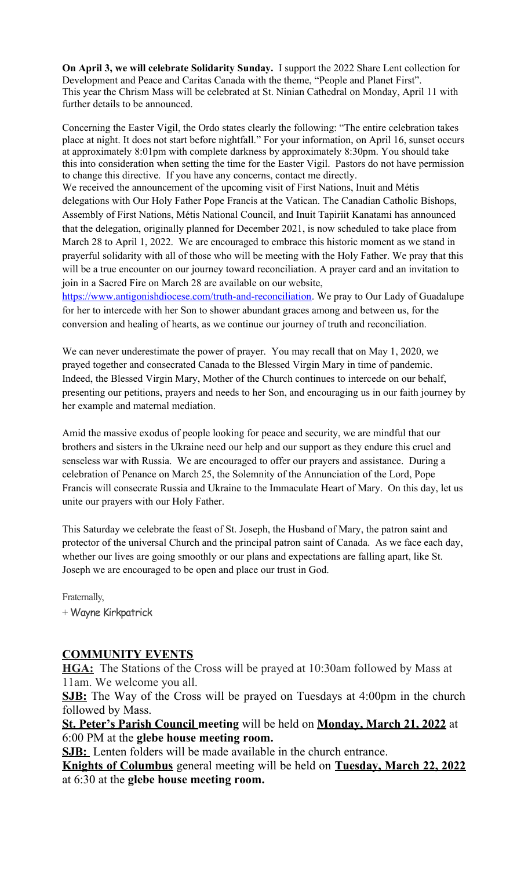**On April 3, we will celebrate Solidarity Sunday.** I support the 2022 Share Lent collection for Development and Peace and Caritas Canada with the theme, "People and Planet First". This year the Chrism Mass will be celebrated at St. Ninian Cathedral on Monday, April 11 with further details to be announced.

Concerning the Easter Vigil, the Ordo states clearly the following: "The entire celebration takes place at night. It does not start before nightfall." For your information, on April 16, sunset occurs at approximately 8:01pm with complete darkness by approximately 8:30pm. You should take this into consideration when setting the time for the Easter Vigil. Pastors do not have permission to change this directive. If you have any concerns, contact me directly. We received the announcement of the upcoming visit of First Nations, Inuit and Métis

delegations with Our Holy Father Pope Francis at the Vatican. The Canadian Catholic Bishops, Assembly of First Nations, Métis National Council, and Inuit Tapiriit Kanatami has announced that the delegation, originally planned for December 2021, is now scheduled to take place from March 28 to April 1, 2022. We are encouraged to embrace this historic moment as we stand in prayerful solidarity with all of those who will be meeting with the Holy Father. We pray that this will be a true encounter on our journey toward reconciliation. A prayer card and an invitation to join in a Sacred Fire on March 28 are available on our website,

[https://www.antigonishdiocese.com/truth-and-reconciliation.](https://www.antigonishdiocese.com/truth-and-reconciliation) We pray to Our Lady of Guadalupe for her to intercede with her Son to shower abundant graces among and between us, for the conversion and healing of hearts, as we continue our journey of truth and reconciliation.

We can never underestimate the power of prayer. You may recall that on May 1, 2020, we prayed together and consecrated Canada to the Blessed Virgin Mary in time of pandemic. Indeed, the Blessed Virgin Mary, Mother of the Church continues to intercede on our behalf, presenting our petitions, prayers and needs to her Son, and encouraging us in our faith journey by her example and maternal mediation.

Amid the massive exodus of people looking for peace and security, we are mindful that our brothers and sisters in the Ukraine need our help and our support as they endure this cruel and senseless war with Russia. We are encouraged to offer our prayers and assistance. During a celebration of Penance on March 25, the Solemnity of the Annunciation of the Lord, Pope Francis will consecrate Russia and Ukraine to the Immaculate Heart of Mary. On this day, let us unite our prayers with our Holy Father.

This Saturday we celebrate the feast of St. Joseph, the Husband of Mary, the patron saint and protector of the universal Church and the principal patron saint of Canada. As we face each day, whether our lives are going smoothly or our plans and expectations are falling apart, like St. Joseph we are encouraged to be open and place our trust in God.

Fraternally,

+ Wayne Kirkpatrick

# **COMMUNITY EVENTS**

**HGA:** The Stations of the Cross will be prayed at 10:30am followed by Mass at 11am. We welcome you all.

**SJB:** The Way of the Cross will be prayed on Tuesdays at 4:00pm in the church followed by Mass.

**St. Peter's Parish Council meeting** will be held on **Monday, March 21, 2022** at 6:00 PM at the **glebe house meeting room.**

**SJB:** Lenten folders will be made available in the church entrance.

**Knights of Columbus** general meeting will be held on **Tuesday, March 22, 2022** at 6:30 at the **glebe house meeting room.**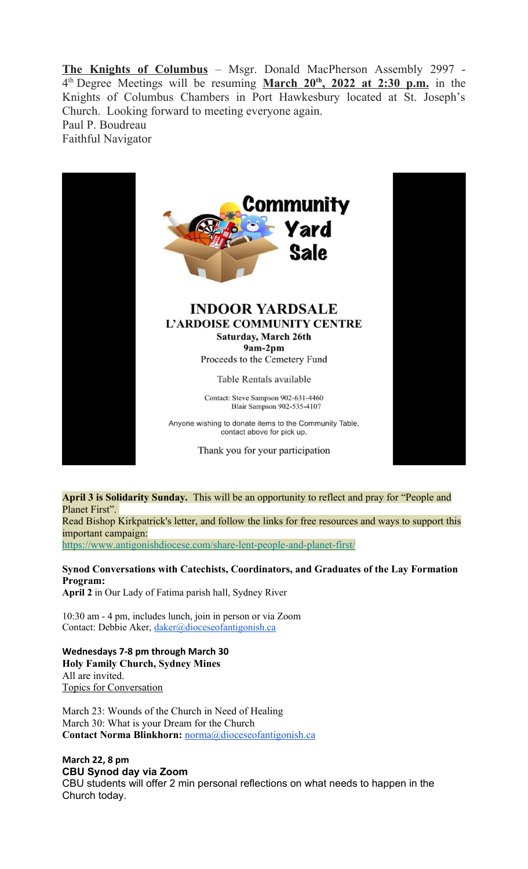**The Knights of Columbus** – Msgr. Donald MacPherson Assembly 2997 - 4<sup>th</sup> Degree Meetings will be resuming **March 20<sup>th</sup>**, 2022 at 2:30 p.m. in the Knights of Columbus Chambers in Port Hawkesbury located at St. Joseph's Church. Looking forward to meeting everyone again. Paul P. Boudreau Faithful Navigator





### **INDOOR YARDSALE** L'ARDOISE COMMUNITY CENTRE Saturday, March 26th 9am-2pm

Proceeds to the Cemetery Fund

Table Rentals available

Contact: Steve Sampson 902-631-4460 Blair Sampson 902-535-4107

Anyone wishing to donate items to the Community Table, contact above for pick up.

Thank you for your participation



# **April 3 is Solidarity Sunday.** This will be an opportunity to reflect and pray for "People and Planet First".

Read Bishop Kirkpatrick's letter, and follow the links for free resources and ways to support this important campaign:

[https://www.antigonishdiocese.com/share-lent-people-and-planet-first/](https://antigonishdiocese.us11.list-manage.com/track/click?u=46108c95b96680ff598b4aa1d&id=3bc85de865&e=60939d450d)

**Synod Conversations with Catechists, Coordinators, and Graduates of the Lay Formation Program: April 2** in Our Lady of Fatima parish hall, Sydney River

10:30 am - 4 pm, includes lunch, join in person or via Zoom

Contact: Debbie Aker, [daker@dioceseofantigonish.ca](mailto:daker@dioceseofantigonish.ca)

**Wednesdays 7-8 pm through March 30 Holy Family Church, Sydney Mines** All are invited. Topics for Conversation

March 23: Wounds of the Church in Need of Healing March 30: What is your Dream for the Church **Contact Norma Blinkhorn:** [norma@dioceseofantigonish.ca](mailto:norma@dioceseofantigonish.ca)

# **March 22, 8 pm CBU Synod day via Zoom**

CBU students will offer 2 min personal reflections on what needs to happen in the Church today.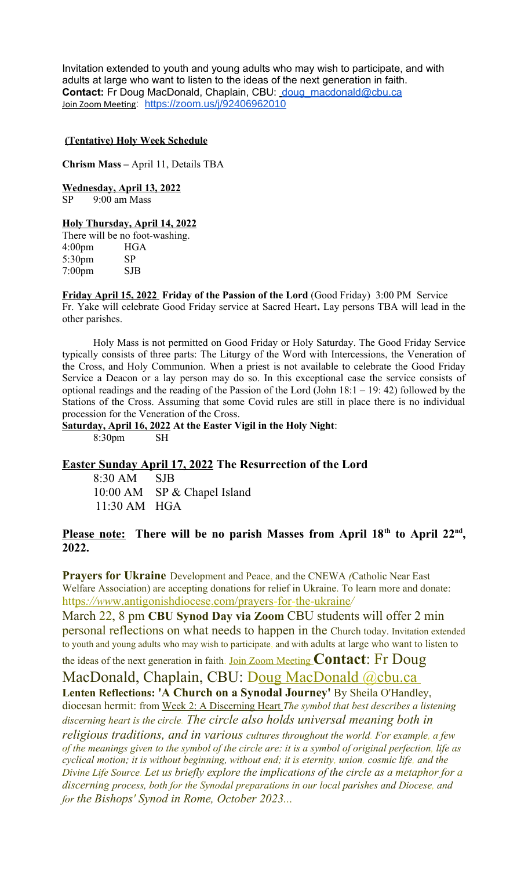Invitation extended to youth and young adults who may wish to participate, and with adults at large who want to listen to the ideas of the next generation in faith. Contact:Fr Doug MacDonald, Chaplain, CBU: [doug\\_macdonald@cbu.ca](mailto:doug_macdonald@cbu.ca) Join Zoom Meeting: <https://zoom.us/j/92406962010>

#### **(Tentative) Holy Week Schedule**

**Chrism Mass –** April 11, Details TBA

**Wednesday, April 13, 2022**

SP 9:00 am Mass

#### **Holy Thursday, April 14, 2022**

There will be no foot-washing. 4:00pm HGA 5:30pm SP 7:00pm SJB

**Friday April 15, 2022 Friday of the Passion of the Lord** (Good Friday) 3:00 PM Service Fr. Yake will celebrate Good Friday service at Sacred Heart**.** Lay persons TBA will lead in the other parishes.

Holy Mass is not permitted on Good Friday or Holy Saturday. The Good Friday Service typically consists of three parts: The Liturgy of the Word with Intercessions, the Veneration of the Cross, and Holy Communion. When a priest is not available to celebrate the Good Friday Service a Deacon or a lay person may do so. In this exceptional case the service consists of optional readings and the reading of the Passion of the Lord (John 18:1 – 19: 42) followed by the Stations of the Cross. Assuming that some Covid rules are still in place there is no individual procession for the Veneration of the Cross.

**Saturday, April 16, 2022 At the Easter Vigil in the Holy Night**: 8:30pm SH

# **Easter Sunday April 17, 2022 The Resurrection of the Lord**

8:30 AM SJB 10:00 AM SP & Chapel Island 11:30 AM HGA

#### **Please note: There will be no parish Masses from April 18th to April 22nd , 2022.**

**Prayers for Ukraine** Development and Peace, and the CNEWA *(*Catholic Near East Welfare Association) are accepting donations for relief in Ukraine. To learn more and donate: htt ps *: / / ww* w. antigonishdiocese. com / prayers - for - the - ukraine*/*

March 22, 8 pm **CBU Synod Day via Zoom** CBU students will offer 2 min personal reflections on what needs to happen in the Church today. Invitation extended to youth and young adults who may wish to participate, and with adults at large who want to listen to

the ideas of the next generation in faith. Join Zoom Meeting **Contact**: Fr Doug MacDonald, Chaplain, CBU: Doug MacDonald @cbu.ca

**Lenten Reflections: 'A Church on a Synodal Journey'** By Sheila O'Handley,

diocesan hermit: from Week 2: A Discerning Heart The symbol that best describes a listening *discerning heart is the circle. The circle also holds universal meaning both in* 

*religious traditions, and in various cultures throughout the world. For example, a few of the meanings given to the symbol of the circle are: it is a symbol of original perfection, life as cyclical motion; it is without beginning, without end; it is eternity, union, cosmic life, and the Divine Life Source. Let us briefly explore the implications of the circle as a metaphor for a discerning process, both for the Synodal preparations in our local parishes and Diocese, and for the Bishops' Synod in Rome, October 2023...*